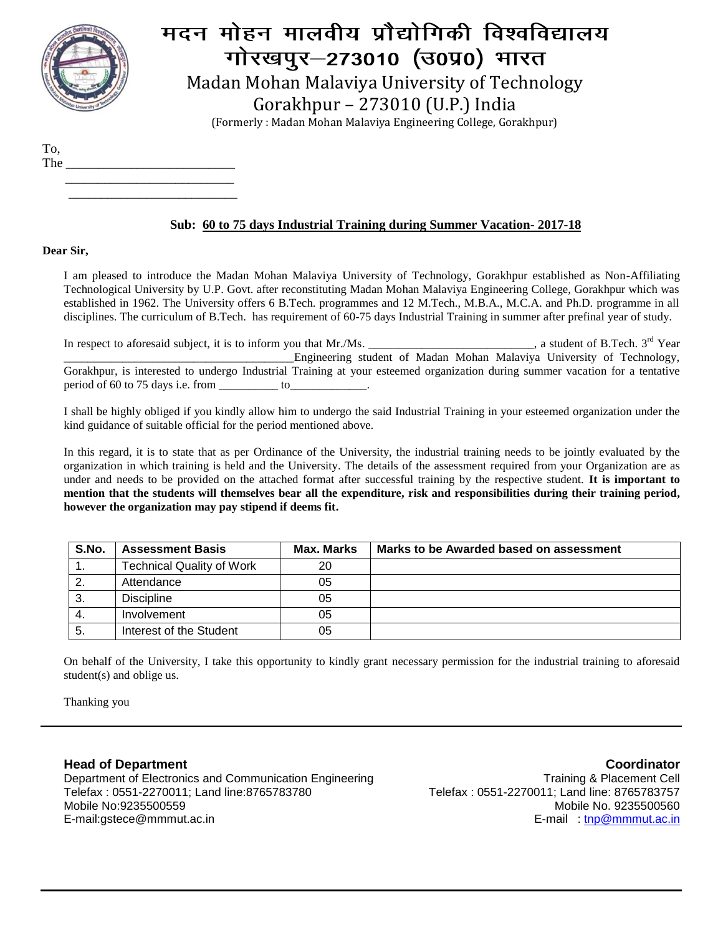

# मदन मोहन मालवीय प्रौद्योगिकी विश्वविद्यालय गोरखपूर-273010 (उ0प्र0) भारत Madan Mohan Malaviya University of Technology Gorakhpur – 273010 (U.P.) India

(Formerly : Madan Mohan Malaviya Engineering College, Gorakhpur)

To,

The \_\_\_\_\_\_\_\_\_\_\_\_\_\_\_\_\_\_\_\_\_\_\_\_\_\_ \_\_\_\_\_\_\_\_\_\_\_\_\_\_\_\_\_\_\_\_\_\_\_\_\_\_

\_\_\_\_\_\_\_\_\_\_\_\_\_\_\_\_\_\_\_\_\_\_\_\_\_\_

### **Sub: 60 to 75 days Industrial Training during Summer Vacation- 2017-18**

#### **Dear Sir,**

I am pleased to introduce the Madan Mohan Malaviya University of Technology, Gorakhpur established as Non-Affiliating Technological University by U.P. Govt. after reconstituting Madan Mohan Malaviya Engineering College, Gorakhpur which was established in 1962. The University offers 6 B.Tech. programmes and 12 M.Tech., M.B.A., M.C.A. and Ph.D. programme in all disciplines. The curriculum of B.Tech. has requirement of 60-75 days Industrial Training in summer after prefinal year of study.

In respect to aforesaid subject, it is to inform you that Mr./Ms.  $\_\_$ a student of B.Tech. 3<sup>rd</sup> Year \_\_\_\_\_\_\_\_\_\_\_\_\_\_\_\_\_\_\_\_\_\_\_\_\_\_\_\_\_\_\_\_\_\_\_\_\_\_\_Engineering student of Madan Mohan Malaviya University of Technology, Gorakhpur, is interested to undergo Industrial Training at your esteemed organization during summer vacation for a tentative period of 60 to 75 days i.e. from \_\_\_\_\_\_\_\_\_\_ to\_\_\_\_\_\_\_\_\_\_\_\_\_.

I shall be highly obliged if you kindly allow him to undergo the said Industrial Training in your esteemed organization under the kind guidance of suitable official for the period mentioned above.

In this regard, it is to state that as per Ordinance of the University, the industrial training needs to be jointly evaluated by the organization in which training is held and the University. The details of the assessment required from your Organization are as under and needs to be provided on the attached format after successful training by the respective student. **It is important to mention that the students will themselves bear all the expenditure, risk and responsibilities during their training period, however the organization may pay stipend if deems fit.**

| S.No. | <b>Assessment Basis</b>          | Max. Marks | Marks to be Awarded based on assessment |
|-------|----------------------------------|------------|-----------------------------------------|
|       | <b>Technical Quality of Work</b> | 20         |                                         |
|       | Attendance                       | 05         |                                         |
| 3.    | <b>Discipline</b>                | 05         |                                         |
|       | Involvement                      | 05         |                                         |
| 5.    | Interest of the Student          | 05         |                                         |

On behalf of the University, I take this opportunity to kindly grant necessary permission for the industrial training to aforesaid student(s) and oblige us.

Thanking you

### **Head of Department**

Department of Electronics and Communication Engineering Telefax : 0551-2270011; Land line:8765783780 Mobile No:9235500559 E-mail:gstece@mmmut.ac.in

**Coordinator** Training & Placement Cell Telefax : 0551-2270011; Land line: 8765783757 Mobile No. 9235500560 E-mail [: tnp@mmmut.ac.in](mailto:tnp@mmmut.ac.in)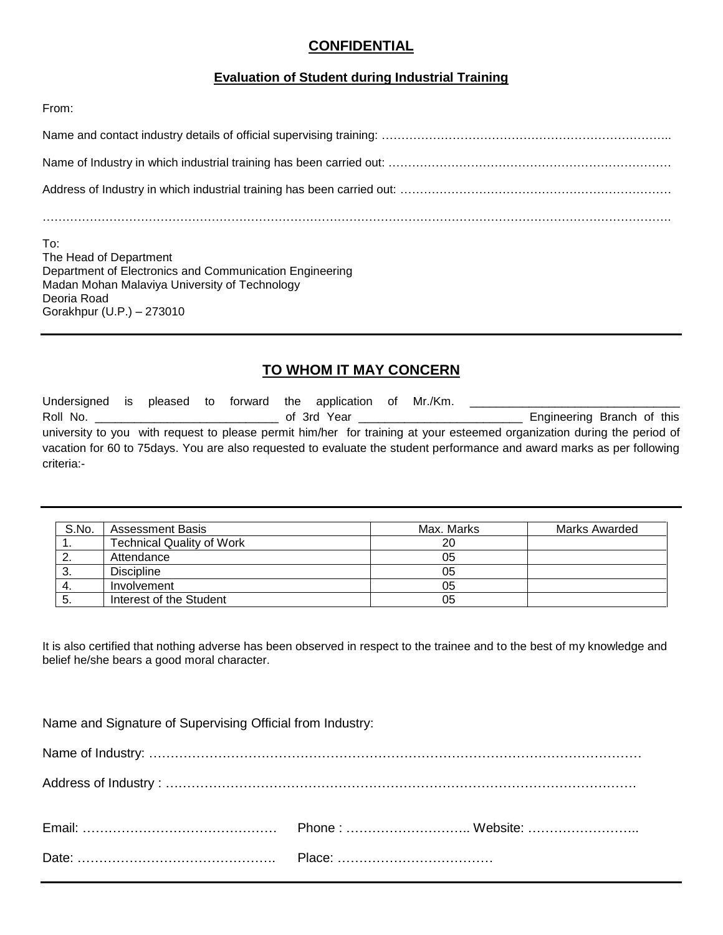## **CONFIDENTIAL**

### **Evaluation of Student during Industrial Training**

From:

| To:<br>The Head of Department |
|-------------------------------|

Department of Electronics and Communication Engineering Madan Mohan Malaviya University of Technology Deoria Road Gorakhpur (U.P.) – 273010

# **TO WHOM IT MAY CONCERN**

| Undersigned is pleased to forward the application of Mr./Km. |  |  |                                                                                                                                                                                                                                |  |                                                                                                                         |
|--------------------------------------------------------------|--|--|--------------------------------------------------------------------------------------------------------------------------------------------------------------------------------------------------------------------------------|--|-------------------------------------------------------------------------------------------------------------------------|
| Roll No.                                                     |  |  | of 3rd Year and the control of the control of the control of the control of the control of the control of the control of the control of the control of the control of the control of the control of the control of the control |  | Engineering Branch of this                                                                                              |
|                                                              |  |  |                                                                                                                                                                                                                                |  | university to you with request to please permit him/her for training at your esteemed organization during the period of |
|                                                              |  |  |                                                                                                                                                                                                                                |  | vacation for 60 to 75 days. You are also requested to evaluate the student performance and award marks as per following |
| criteria:-                                                   |  |  |                                                                                                                                                                                                                                |  |                                                                                                                         |

| S.No. | <b>Assessment Basis</b>          | Max. Marks | Marks Awarded |
|-------|----------------------------------|------------|---------------|
| . .   | <b>Technical Quality of Work</b> | 20         |               |
|       | Attendance                       | 05         |               |
| Ő.    | <b>Discipline</b>                | 05         |               |
| 4.    | Involvement                      | 05         |               |
| ు.    | Interest of the Student          | 05         |               |

It is also certified that nothing adverse has been observed in respect to the trainee and to the best of my knowledge and belief he/she bears a good moral character.

Name and Signature of Supervising Official from Industry: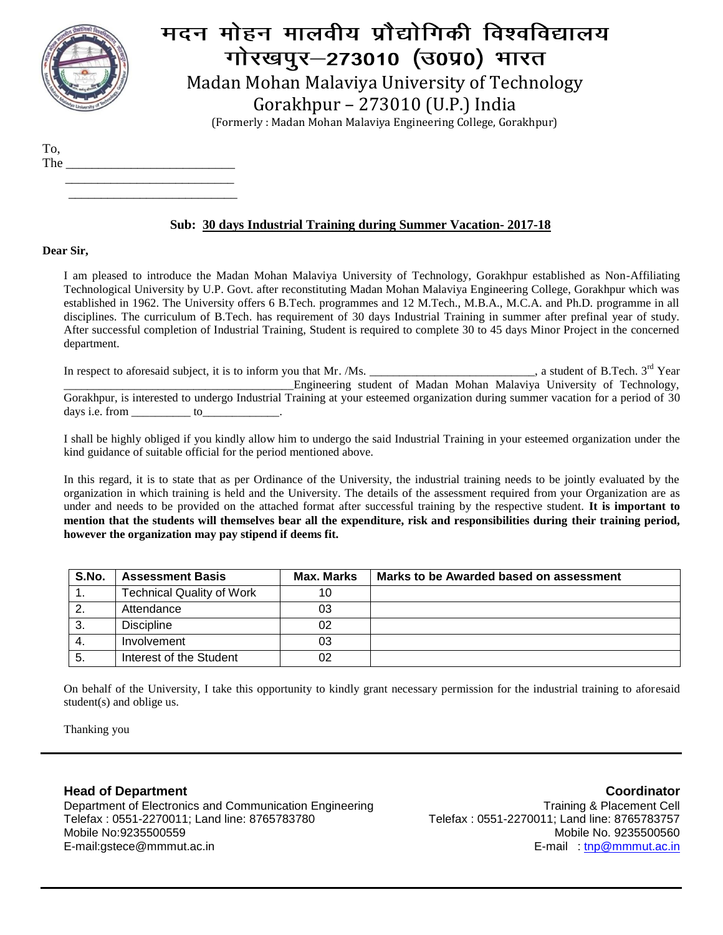

# मदन मोहन मालवीय प्रौद्योगिकी विश्वविद्यालय गोरखपूर-273010 (उ0प्र0) भारत Madan Mohan Malaviya University of Technology Gorakhpur – 273010 (U.P.) India

(Formerly : Madan Mohan Malaviya Engineering College, Gorakhpur)

To,

The \_\_\_\_\_\_\_\_\_\_\_\_\_\_\_\_\_\_\_\_\_\_\_\_\_\_ \_\_\_\_\_\_\_\_\_\_\_\_\_\_\_\_\_\_\_\_\_\_\_\_\_\_

\_\_\_\_\_\_\_\_\_\_\_\_\_\_\_\_\_\_\_\_\_\_\_\_\_\_

### **Sub: 30 days Industrial Training during Summer Vacation- 2017-18**

#### **Dear Sir,**

I am pleased to introduce the Madan Mohan Malaviya University of Technology, Gorakhpur established as Non-Affiliating Technological University by U.P. Govt. after reconstituting Madan Mohan Malaviya Engineering College, Gorakhpur which was established in 1962. The University offers 6 B.Tech. programmes and 12 M.Tech., M.B.A., M.C.A. and Ph.D. programme in all disciplines. The curriculum of B.Tech. has requirement of 30 days Industrial Training in summer after prefinal year of study. After successful completion of Industrial Training, Student is required to complete 30 to 45 days Minor Project in the concerned department.

In respect to aforesaid subject, it is to inform you that Mr. /Ms. \_\_\_\_\_\_\_\_\_\_\_\_\_\_\_\_\_\_\_\_\_\_\_\_\_\_, a student of B.Tech. 3<sup>rd</sup> Year \_\_\_\_\_\_\_\_\_\_\_\_\_\_\_\_\_\_\_\_\_\_\_\_\_\_\_\_\_\_\_\_\_\_\_\_\_\_\_Engineering student of Madan Mohan Malaviya University of Technology, Gorakhpur, is interested to undergo Industrial Training at your esteemed organization during summer vacation for a period of 30 days i.e. from to

I shall be highly obliged if you kindly allow him to undergo the said Industrial Training in your esteemed organization under the kind guidance of suitable official for the period mentioned above.

In this regard, it is to state that as per Ordinance of the University, the industrial training needs to be jointly evaluated by the organization in which training is held and the University. The details of the assessment required from your Organization are as under and needs to be provided on the attached format after successful training by the respective student. **It is important to mention that the students will themselves bear all the expenditure, risk and responsibilities during their training period, however the organization may pay stipend if deems fit.**

| S.No. | <b>Assessment Basis</b>          | Max. Marks | Marks to be Awarded based on assessment |
|-------|----------------------------------|------------|-----------------------------------------|
|       | <b>Technical Quality of Work</b> | 10         |                                         |
| ົ     | Attendance                       | 03         |                                         |
| 3.    | <b>Discipline</b>                | 02         |                                         |
| 4.    | Involvement                      | 03         |                                         |
| -5.   | Interest of the Student          | 02         |                                         |

On behalf of the University, I take this opportunity to kindly grant necessary permission for the industrial training to aforesaid student(s) and oblige us.

Thanking you

### **Head of Department**

Department of Electronics and Communication Engineering Telefax : 0551-2270011; Land line: 8765783780 Mobile No:9235500559 E-mail:gstece@mmmut.ac.in

**Coordinator** Training & Placement Cell Telefax : 0551-2270011; Land line: 8765783757 Mobile No. 9235500560 E-mail [: tnp@mmmut.ac.in](mailto:tnp@mmmut.ac.in)